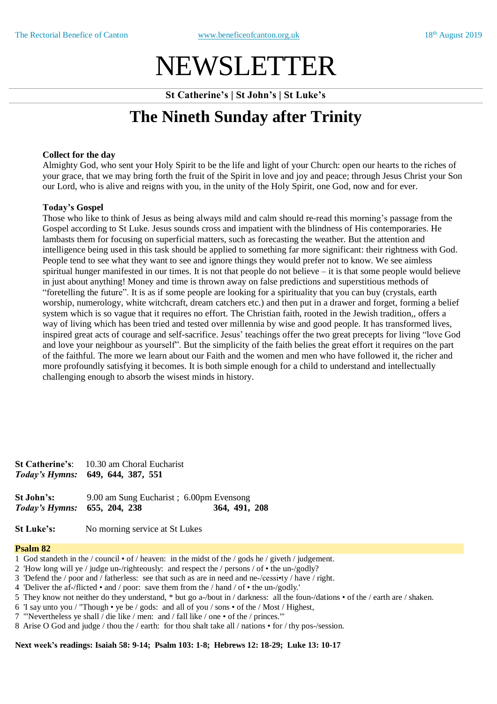# NEWSLETTER

**St Catherine's | St John's | St Luke's**

## **The Nineth Sunday after Trinity**

### **Collect for the day**

Almighty God, who sent your Holy Spirit to be the life and light of your Church: open our hearts to the riches of your grace, that we may bring forth the fruit of the Spirit in love and joy and peace; through Jesus Christ your Son our Lord, who is alive and reigns with you, in the unity of the Holy Spirit, one God, now and for ever.

### **Today's Gospel**

Those who like to think of Jesus as being always mild and calm should re-read this morning's passage from the Gospel according to St Luke. Jesus sounds cross and impatient with the blindness of His contemporaries. He lambasts them for focusing on superficial matters, such as forecasting the weather. But the attention and intelligence being used in this task should be applied to something far more significant: their rightness with God. People tend to see what they want to see and ignore things they would prefer not to know. We see aimless spiritual hunger manifested in our times. It is not that people do not believe – it is that some people would believe in just about anything! Money and time is thrown away on false predictions and superstitious methods of "foretelling the future". It is as if some people are looking for a spirituality that you can buy (crystals, earth worship, numerology, white witchcraft, dream catchers etc.) and then put in a drawer and forget, forming a belief system which is so vague that it requires no effort. The Christian faith, rooted in the Jewish tradition,, offers a way of living which has been tried and tested over millennia by wise and good people. It has transformed lives, inspired great acts of courage and self-sacrifice. Jesus' teachings offer the two great precepts for living "love God and love your neighbour as yourself". But the simplicity of the faith belies the great effort it requires on the part of the faithful. The more we learn about our Faith and the women and men who have followed it, the richer and more profoundly satisfying it becomes. It is both simple enough for a child to understand and intellectually challenging enough to absorb the wisest minds in history.

**St Catherine's**: 10.30 am Choral Eucharist *Today's Hymns:* **649, 644, 387, 551**

**St John's:** 9.00 am Sung Eucharist : 6.00pm Evensong *Today's Hymns:* **655, 204, 238 364, 491, 208** 

**St Luke's:** No morning service at St Lukes

### **Psalm 82**

- 1 God standeth in the / council of / heaven: in the midst of the / gods he / giveth / judgement.
- 2 'How long will ye / judge un-/righteously: and respect the / persons / of the un-/godly?
- 3 'Defend the / poor and / fatherless: see that such as are in need and ne-/cessi•ty / have / right.
- 4 'Deliver the af-/flicted and / poor: save them from the / hand / of the un-/godly.'
- 5 They know not neither do they understand, \* but go a-/bout in / darkness: all the foun-/dations of the / earth are / shaken.
- 6 'I say unto you / "Though ye be / gods: and all of you / sons of the / Most / Highest,
- 7 '"Nevertheless ye shall / die like / men: and / fall like / one of the / princes.'"
- 8 Arise O God and judge / thou the / earth: for thou shalt take all / nations for / thy pos-/session.

**Next week's readings: Isaiah 58: 9-14; Psalm 103: 1-8; Hebrews 12: 18-29; Luke 13: 10-17**